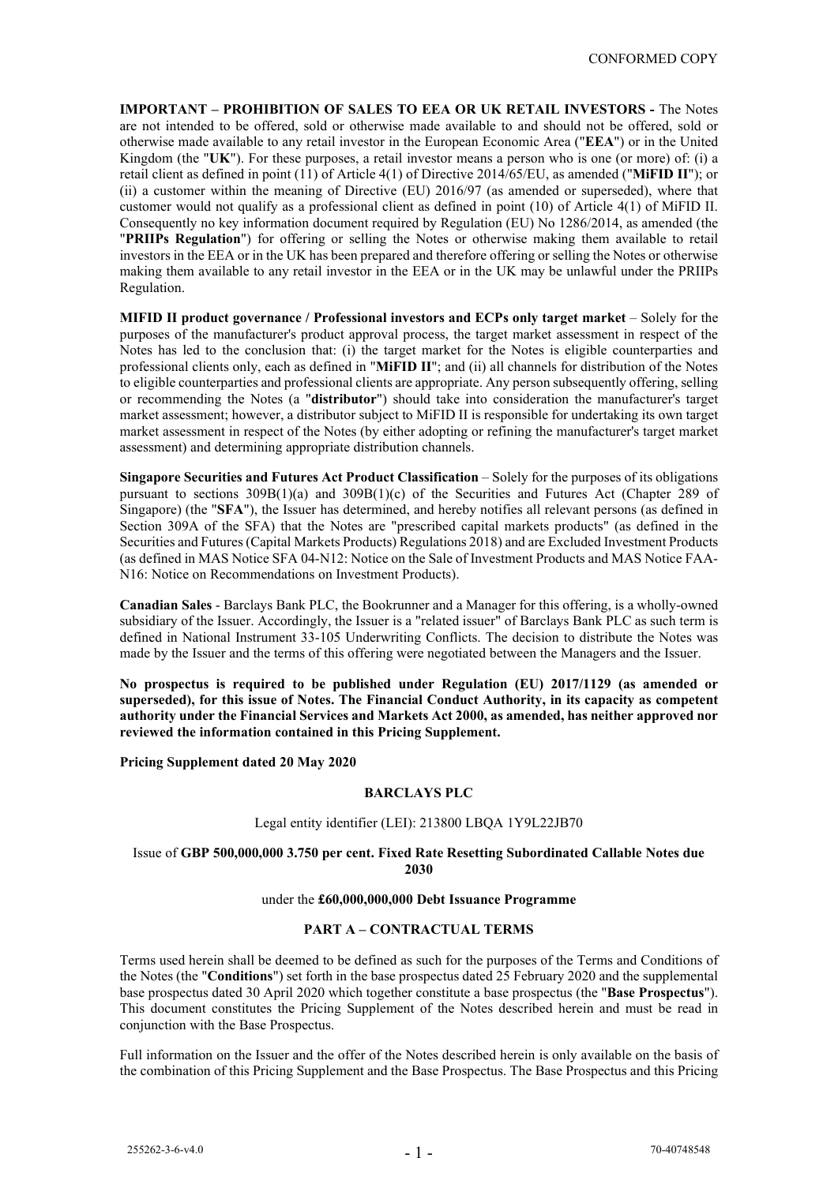**IMPORTANT – PROHIBITION OF SALES TO EEA OR UK RETAIL INVESTORS -** The Notes are not intended to be offered, sold or otherwise made available to and should not be offered, sold or otherwise made available to any retail investor in the European Economic Area ("**EEA**") or in the United Kingdom (the "**UK**"). For these purposes, a retail investor means a person who is one (or more) of: (i) a retail client as defined in point (11) of Article 4(1) of Directive 2014/65/EU, as amended ("**MiFID II**"); or (ii) a customer within the meaning of Directive (EU) 2016/97 (as amended or superseded), where that customer would not qualify as a professional client as defined in point (10) of Article 4(1) of MiFID II. Consequently no key information document required by Regulation (EU) No 1286/2014, as amended (the "**PRIIPs Regulation**") for offering or selling the Notes or otherwise making them available to retail investors in the EEA or in the UK has been prepared and therefore offering or selling the Notes or otherwise making them available to any retail investor in the EEA or in the UK may be unlawful under the PRIIPs Regulation.

**MIFID II product governance / Professional investors and ECPs only target market** – Solely for the purposes of the manufacturer's product approval process, the target market assessment in respect of the Notes has led to the conclusion that: (i) the target market for the Notes is eligible counterparties and professional clients only, each as defined in "**MiFID II**"; and (ii) all channels for distribution of the Notes to eligible counterparties and professional clients are appropriate. Any person subsequently offering, selling or recommending the Notes (a "**distributor**") should take into consideration the manufacturer's target market assessment; however, a distributor subject to MiFID II is responsible for undertaking its own target market assessment in respect of the Notes (by either adopting or refining the manufacturer's target market assessment) and determining appropriate distribution channels.

**Singapore Securities and Futures Act Product Classification** – Solely for the purposes of its obligations pursuant to sections 309B(1)(a) and 309B(1)(c) of the Securities and Futures Act (Chapter 289 of Singapore) (the "**SFA**"), the Issuer has determined, and hereby notifies all relevant persons (as defined in Section 309A of the SFA) that the Notes are "prescribed capital markets products" (as defined in the Securities and Futures (Capital Markets Products) Regulations 2018) and are Excluded Investment Products (as defined in MAS Notice SFA 04-N12: Notice on the Sale of Investment Products and MAS Notice FAA-N16: Notice on Recommendations on Investment Products).

**Canadian Sales** - Barclays Bank PLC, the Bookrunner and a Manager for this offering, is a wholly-owned subsidiary of the Issuer. Accordingly, the Issuer is a "related issuer" of Barclays Bank PLC as such term is defined in National Instrument 33-105 Underwriting Conflicts. The decision to distribute the Notes was made by the Issuer and the terms of this offering were negotiated between the Managers and the Issuer.

**No prospectus is required to be published under Regulation (EU) 2017/1129 (as amended or superseded), for this issue of Notes. The Financial Conduct Authority, in its capacity as competent authority under the Financial Services and Markets Act 2000, as amended, has neither approved nor reviewed the information contained in this Pricing Supplement.**

**Pricing Supplement dated 20 May 2020**

# **BARCLAYS PLC**

# Legal entity identifier (LEI): 213800 LBQA 1Y9L22JB70

#### Issue of **GBP 500,000,000 3.750 per cent. Fixed Rate Resetting Subordinated Callable Notes due 2030**

#### under the **£60,000,000,000 Debt Issuance Programme**

# **PART A – CONTRACTUAL TERMS**

Terms used herein shall be deemed to be defined as such for the purposes of the Terms and Conditions of the Notes (the "**Conditions**") set forth in the base prospectus dated 25 February 2020 and the supplemental base prospectus dated 30 April 2020 which together constitute a base prospectus (the "**Base Prospectus**"). This document constitutes the Pricing Supplement of the Notes described herein and must be read in conjunction with the Base Prospectus.

Full information on the Issuer and the offer of the Notes described herein is only available on the basis of the combination of this Pricing Supplement and the Base Prospectus. The Base Prospectus and this Pricing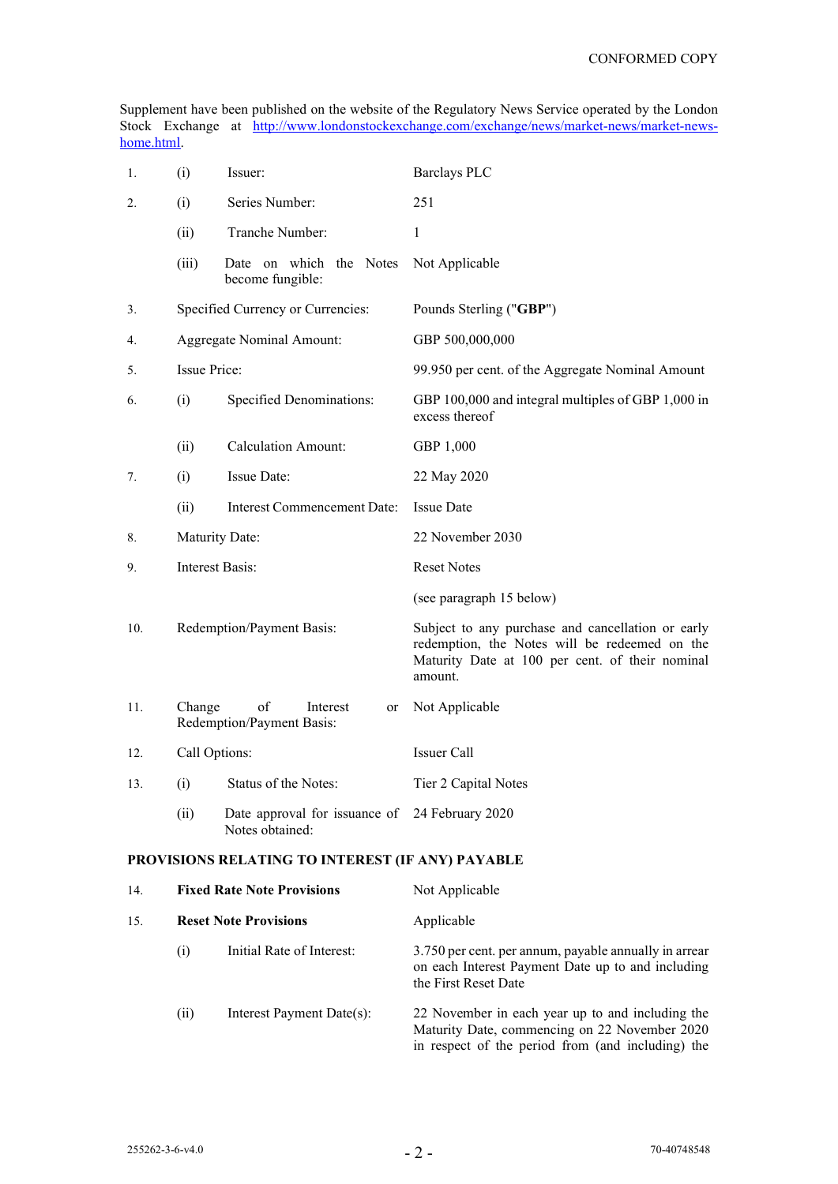Supplement have been published on the website of the Regulatory News Service operated by the London Stock Exchange at [http://www.londonstockexchange.com/exchange/news/market-news/market-news](http://www.londonstockexchange.com/exchange/news/market-news/market-news-home.html)[home.html.](http://www.londonstockexchange.com/exchange/news/market-news/market-news-home.html)

| 1.                                               | (i)<br>Issuer:                  |                                                                   | <b>Barclays PLC</b>                                                                                                                                              |
|--------------------------------------------------|---------------------------------|-------------------------------------------------------------------|------------------------------------------------------------------------------------------------------------------------------------------------------------------|
| 2.                                               | (i)                             | Series Number:                                                    | 251                                                                                                                                                              |
|                                                  | (ii)                            | Tranche Number:                                                   | 1                                                                                                                                                                |
|                                                  | (iii)                           | Date on which the Notes<br>become fungible:                       | Not Applicable                                                                                                                                                   |
| 3.                                               |                                 | Specified Currency or Currencies:                                 | Pounds Sterling ("GBP")                                                                                                                                          |
| 4.                                               |                                 | <b>Aggregate Nominal Amount:</b>                                  | GBP 500,000,000                                                                                                                                                  |
| 5.                                               | Issue Price:                    |                                                                   | 99.950 per cent. of the Aggregate Nominal Amount                                                                                                                 |
| 6.                                               | Specified Denominations:<br>(i) |                                                                   | GBP 100,000 and integral multiples of GBP 1,000 in<br>excess thereof                                                                                             |
|                                                  | (ii)                            | <b>Calculation Amount:</b>                                        | GBP 1,000                                                                                                                                                        |
| 7.                                               | (i)                             | Issue Date:                                                       | 22 May 2020                                                                                                                                                      |
|                                                  | (ii)                            | Interest Commencement Date:                                       | <b>Issue Date</b>                                                                                                                                                |
| 8.                                               | Maturity Date:                  |                                                                   | 22 November 2030                                                                                                                                                 |
| 9.                                               | <b>Interest Basis:</b>          |                                                                   | <b>Reset Notes</b>                                                                                                                                               |
|                                                  |                                 |                                                                   | (see paragraph 15 below)                                                                                                                                         |
| 10.                                              |                                 | Redemption/Payment Basis:                                         | Subject to any purchase and cancellation or early<br>redemption, the Notes will be redeemed on the<br>Maturity Date at 100 per cent. of their nominal<br>amount. |
| 11.                                              | Change                          | of<br>Interest<br>or<br>Redemption/Payment Basis:                 | Not Applicable                                                                                                                                                   |
| 12.                                              | Call Options:                   |                                                                   | Issuer Call                                                                                                                                                      |
| 13.                                              | (i)                             | Status of the Notes:                                              | Tier 2 Capital Notes                                                                                                                                             |
|                                                  | (ii)                            | Date approval for issuance of 24 February 2020<br>Notes obtained: |                                                                                                                                                                  |
| PROVISIONS RELATING TO INTEREST (IF ANY) PAYABLE |                                 |                                                                   |                                                                                                                                                                  |
| 14.                                              |                                 | <b>Fixed Rate Note Provisions</b>                                 | Not Applicable                                                                                                                                                   |
| 15.                                              |                                 | <b>Reset Note Provisions</b>                                      | Applicable                                                                                                                                                       |

<span id="page-1-0"></span>(i) Initial Rate of Interest: 3.750 per cent. per annum, payable annually in arrear on each Interest Payment Date up to and including the First Reset Date (ii) Interest Payment Date(s): 22 November in each year up to and including the Maturity Date, commencing on 22 November 2020

in respect of the period from (and including) the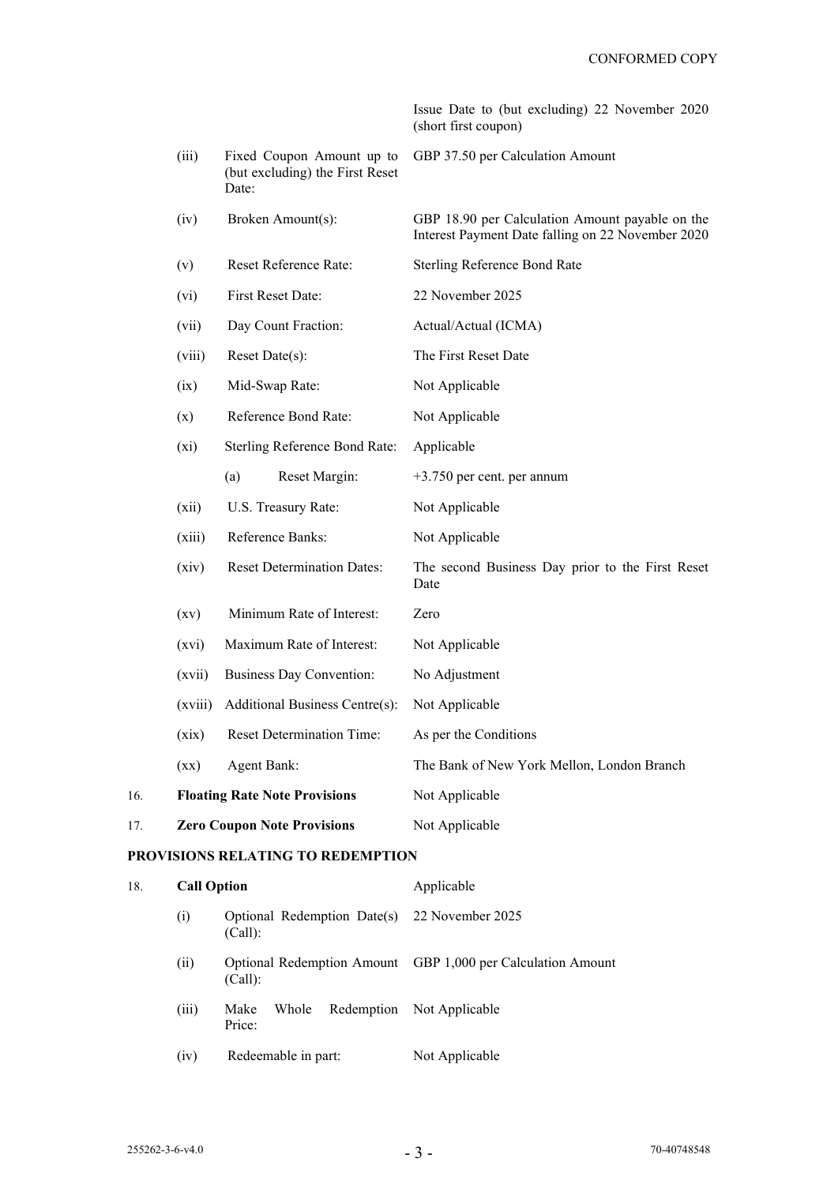Issue Date to (but excluding) 22 November 2020 (short first coupon)

|     | (iii)                    | Fixed Coupon Amount up to<br>(but excluding) the First Reset<br>Date: | GBP 37.50 per Calculation Amount                                                                     |
|-----|--------------------------|-----------------------------------------------------------------------|------------------------------------------------------------------------------------------------------|
|     | (iv)                     | Broken Amount(s):                                                     | GBP 18.90 per Calculation Amount payable on the<br>Interest Payment Date falling on 22 November 2020 |
|     | (v)                      | Reset Reference Rate:                                                 | Sterling Reference Bond Rate                                                                         |
|     | (vi)                     | First Reset Date:                                                     | 22 November 2025                                                                                     |
|     | (vii)                    | Day Count Fraction:                                                   | Actual/Actual (ICMA)                                                                                 |
|     | (viii)                   | Reset Date(s):                                                        | The First Reset Date                                                                                 |
|     | (ix)                     | Mid-Swap Rate:                                                        | Not Applicable                                                                                       |
|     | (x)                      | Reference Bond Rate:                                                  | Not Applicable                                                                                       |
|     | $(x_i)$                  | Sterling Reference Bond Rate:                                         | Applicable                                                                                           |
|     |                          | (a)<br>Reset Margin:                                                  | $+3.750$ per cent. per annum                                                                         |
|     | (xii)                    | U.S. Treasury Rate:                                                   | Not Applicable                                                                                       |
|     | (xiii)                   | Reference Banks:                                                      | Not Applicable                                                                                       |
|     | (xiv)                    | <b>Reset Determination Dates:</b>                                     | The second Business Day prior to the First Reset<br>Date                                             |
|     | (xv)                     | Minimum Rate of Interest:                                             | Zero                                                                                                 |
|     | (xvi)                    | Maximum Rate of Interest:                                             | Not Applicable                                                                                       |
|     | (xvii)                   | Business Day Convention:                                              | No Adjustment                                                                                        |
|     | (xviii)                  | Additional Business Centre(s):                                        | Not Applicable                                                                                       |
|     | (xix)                    | <b>Reset Determination Time:</b>                                      | As per the Conditions                                                                                |
|     | $(\mathbf{X}\mathbf{X})$ | <b>Agent Bank:</b>                                                    | The Bank of New York Mellon, London Branch                                                           |
| 16. |                          | <b>Floating Rate Note Provisions</b>                                  | Not Applicable                                                                                       |
| 17. |                          | <b>Zero Coupon Note Provisions</b>                                    | Not Applicable                                                                                       |
|     |                          | PROVISIONS RELATING TO REDEMPTION                                     |                                                                                                      |
| 18. | <b>Call Option</b>       |                                                                       | Applicable                                                                                           |
|     | (i)                      | Optional Redemption Date(s)<br>(Call):                                | 22 November 2025                                                                                     |
|     | (ii)                     | <b>Optional Redemption Amount</b><br>(Call):                          | GBP 1,000 per Calculation Amount                                                                     |
|     | (iii)                    | Redemption<br>Whole<br>Make<br>Price:                                 | Not Applicable                                                                                       |
|     | (iv)                     | Redeemable in part:                                                   | Not Applicable                                                                                       |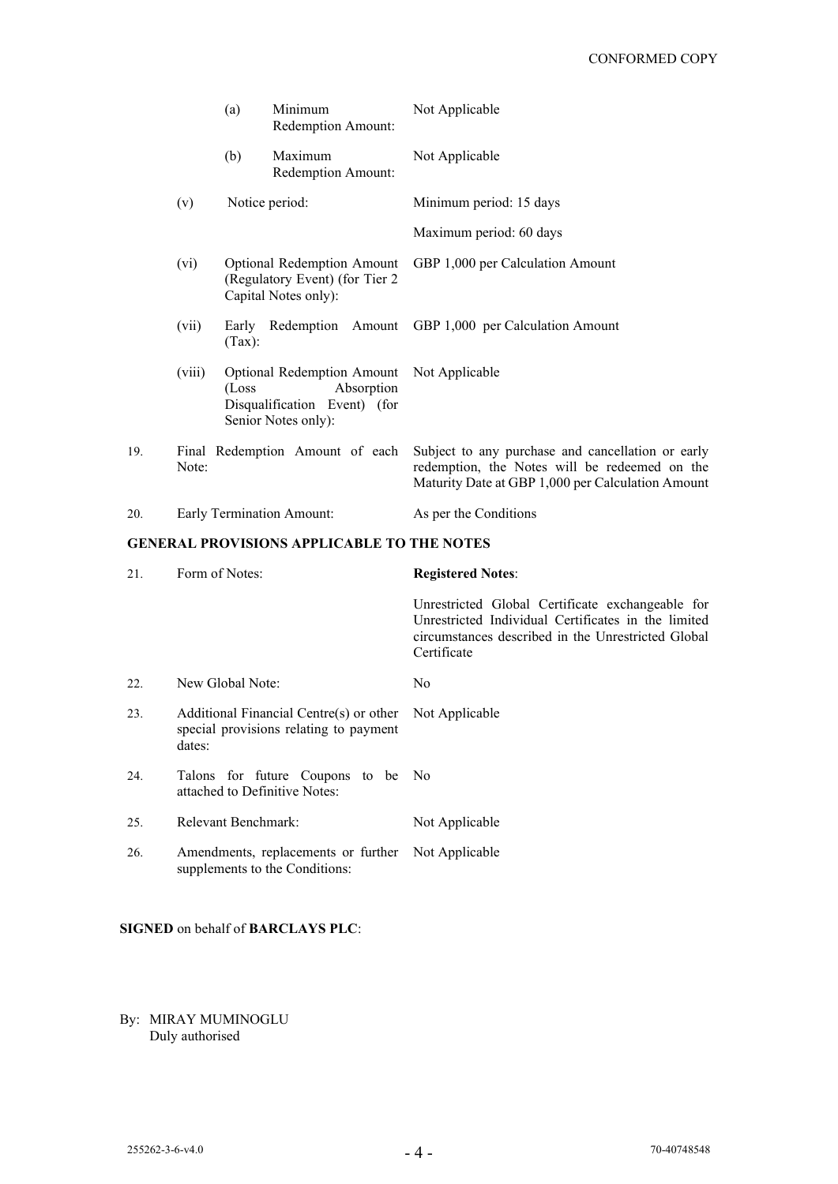|     |                                                                                             | (a)    | Minimum<br>Redemption Amount:                                                                          |  | Not Applicable                                                                                                                                                                          |
|-----|---------------------------------------------------------------------------------------------|--------|--------------------------------------------------------------------------------------------------------|--|-----------------------------------------------------------------------------------------------------------------------------------------------------------------------------------------|
|     |                                                                                             | (b)    | Maximum<br>Redemption Amount:                                                                          |  | Not Applicable                                                                                                                                                                          |
|     | (v)                                                                                         |        | Notice period:                                                                                         |  | Minimum period: 15 days                                                                                                                                                                 |
|     |                                                                                             |        |                                                                                                        |  | Maximum period: 60 days                                                                                                                                                                 |
|     | (vi)                                                                                        |        | <b>Optional Redemption Amount</b><br>(Regulatory Event) (for Tier 2<br>Capital Notes only):            |  | GBP 1,000 per Calculation Amount                                                                                                                                                        |
|     | (vii)                                                                                       | (Tax): | Early Redemption Amount                                                                                |  | GBP 1,000 per Calculation Amount                                                                                                                                                        |
|     | (viii)                                                                                      | (Loss) | <b>Optional Redemption Amount</b><br>Absorption<br>Disqualification Event) (for<br>Senior Notes only): |  | Not Applicable                                                                                                                                                                          |
| 19. | Note:                                                                                       |        |                                                                                                        |  | Final Redemption Amount of each Subject to any purchase and cancellation or early<br>redemption, the Notes will be redeemed on the<br>Maturity Date at GBP 1,000 per Calculation Amount |
| 20. |                                                                                             |        | Early Termination Amount:                                                                              |  | As per the Conditions                                                                                                                                                                   |
|     |                                                                                             |        | <b>GENERAL PROVISIONS APPLICABLE TO THE NOTES</b>                                                      |  |                                                                                                                                                                                         |
| 21. | Form of Notes:                                                                              |        |                                                                                                        |  | <b>Registered Notes:</b>                                                                                                                                                                |
|     |                                                                                             |        |                                                                                                        |  | Unrestricted Global Certificate exchangeable for<br>Unrestricted Individual Certificates in the limited<br>circumstances described in the Unrestricted Global<br>Certificate            |
| 22. | New Global Note:                                                                            |        |                                                                                                        |  | No                                                                                                                                                                                      |
| 23. | Additional Financial Centre(s) or other<br>special provisions relating to payment<br>dates: |        |                                                                                                        |  | Not Applicable                                                                                                                                                                          |
| 24. | Talons for future Coupons to be<br>attached to Definitive Notes:                            |        |                                                                                                        |  | No                                                                                                                                                                                      |
| 25. | Relevant Benchmark:                                                                         |        |                                                                                                        |  | Not Applicable                                                                                                                                                                          |
| 26. | Amendments, replacements or further<br>supplements to the Conditions:                       |        |                                                                                                        |  | Not Applicable                                                                                                                                                                          |

**SIGNED** on behalf of **BARCLAYS PLC**:

By: MIRAY MUMINOGLU Duly authorised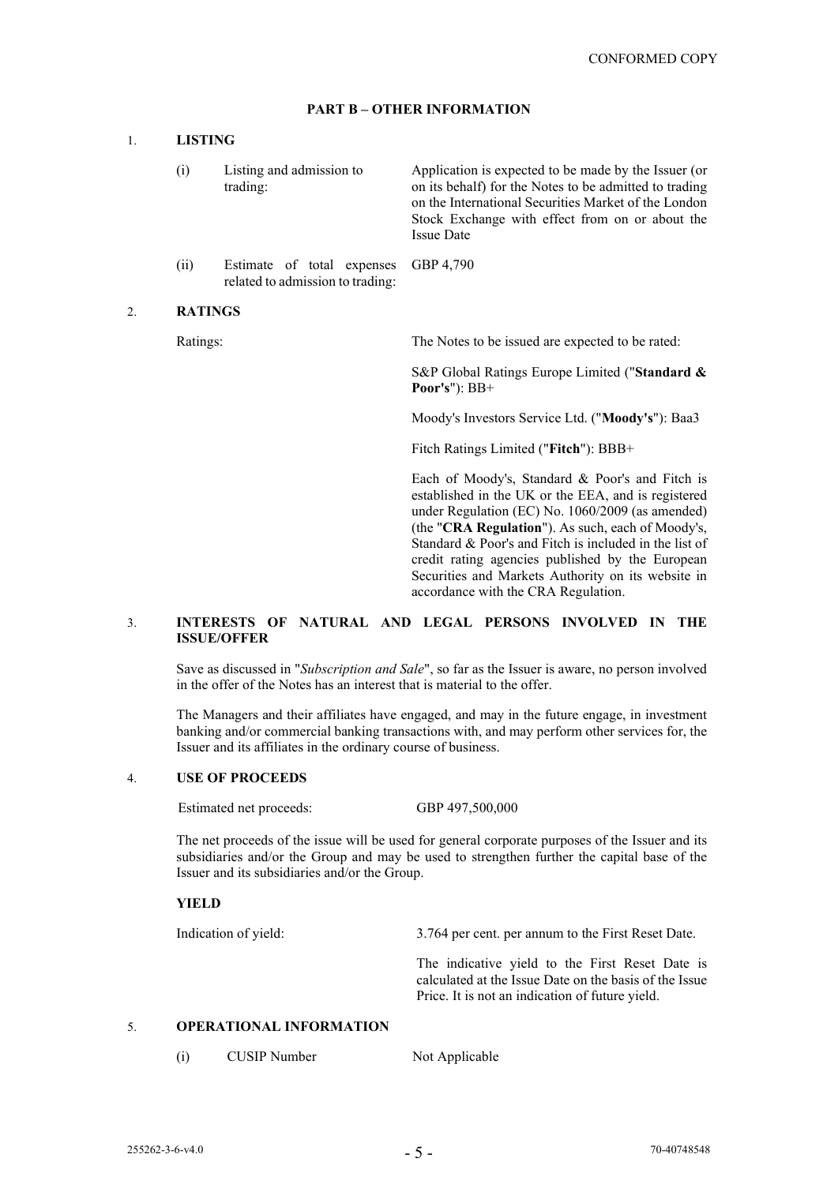# **PART B – OTHER INFORMATION**

#### 1. **LISTING**

- (i) Listing and admission to trading: Application is expected to be made by the Issuer (or on its behalf) for the Notes to be admitted to trading on the International Securities Market of the London Stock Exchange with effect from on or about the Issue Date
- (ii) Estimate of total expenses related to admission to trading: GBP 4,790

#### 2. **RATINGS**

Ratings: The Notes to be issued are expected to be rated:

S&P Global Ratings Europe Limited ("**Standard & Poor's**"): BB+

Moody's Investors Service Ltd. ("**Moody's**"): Baa3

Fitch Ratings Limited ("**Fitch**"): BBB+

Each of Moody's, Standard & Poor's and Fitch is established in the UK or the EEA, and is registered under Regulation (EC) No. 1060/2009 (as amended) (the "**CRA Regulation**"). As such, each of Moody's, Standard & Poor's and Fitch is included in the list of credit rating agencies published by the European Securities and Markets Authority on its website in accordance with the CRA Regulation.

# 3. **INTERESTS OF NATURAL AND LEGAL PERSONS INVOLVED IN THE ISSUE/OFFER**

Save as discussed in "*Subscription and Sale*", so far as the Issuer is aware, no person involved in the offer of the Notes has an interest that is material to the offer.

The Managers and their affiliates have engaged, and may in the future engage, in investment banking and/or commercial banking transactions with, and may perform other services for, the Issuer and its affiliates in the ordinary course of business.

## 4. **USE OF PROCEEDS**

Estimated net proceeds: GBP 497,500,000

The net proceeds of the issue will be used for general corporate purposes of the Issuer and its subsidiaries and/or the Group and may be used to strengthen further the capital base of the Issuer and its subsidiaries and/or the Group.

## **YIELD**

Indication of yield: 3.764 per cent. per annum to the First Reset Date. The indicative yield to the First Reset Date is calculated at the Issue Date on the basis of the Issue Price. It is not an indication of future yield.

# 5. **OPERATIONAL INFORMATION**

(i) CUSIP Number Not Applicable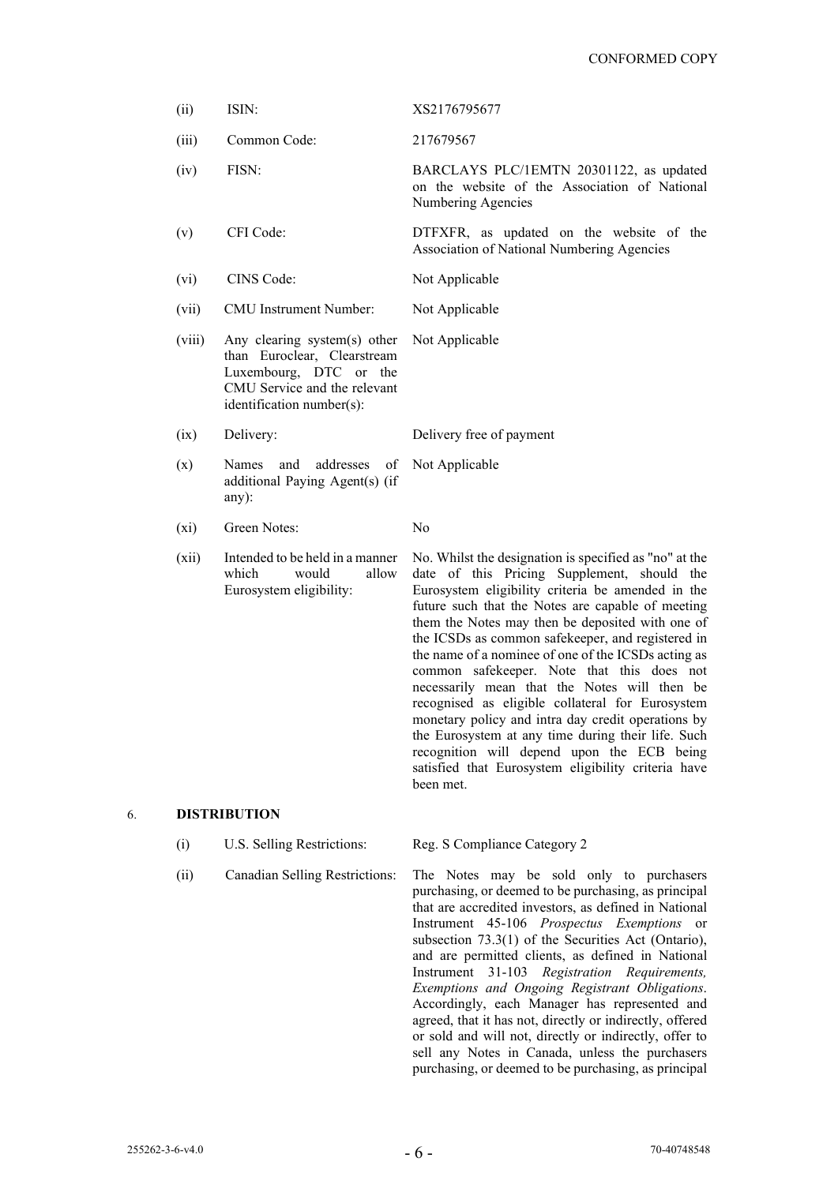| (ii)    | ISIN:                                                                                                                                              | XS2176795677                                                                                                                                                                                                                                                                                                                                                                                                                                                                  |
|---------|----------------------------------------------------------------------------------------------------------------------------------------------------|-------------------------------------------------------------------------------------------------------------------------------------------------------------------------------------------------------------------------------------------------------------------------------------------------------------------------------------------------------------------------------------------------------------------------------------------------------------------------------|
| (iii)   | Common Code:                                                                                                                                       | 217679567                                                                                                                                                                                                                                                                                                                                                                                                                                                                     |
| (iv)    | FISN:                                                                                                                                              | BARCLAYS PLC/1EMTN 20301122, as updated<br>on the website of the Association of National<br>Numbering Agencies                                                                                                                                                                                                                                                                                                                                                                |
| (v)     | CFI Code:                                                                                                                                          | DTFXFR, as updated on the website of the<br>Association of National Numbering Agencies                                                                                                                                                                                                                                                                                                                                                                                        |
| (vi)    | CINS Code:                                                                                                                                         | Not Applicable                                                                                                                                                                                                                                                                                                                                                                                                                                                                |
| (vii)   | CMU Instrument Number:                                                                                                                             | Not Applicable                                                                                                                                                                                                                                                                                                                                                                                                                                                                |
| (viii)  | Any clearing system(s) other<br>than Euroclear, Clearstream<br>Luxembourg, DTC or the<br>CMU Service and the relevant<br>identification number(s): | Not Applicable                                                                                                                                                                                                                                                                                                                                                                                                                                                                |
| (ix)    | Delivery:                                                                                                                                          | Delivery free of payment                                                                                                                                                                                                                                                                                                                                                                                                                                                      |
| (x)     | Names<br>addresses<br>and<br>of<br>additional Paying Agent(s) (if<br>any):                                                                         | Not Applicable                                                                                                                                                                                                                                                                                                                                                                                                                                                                |
| $(x_i)$ | Green Notes:                                                                                                                                       | No                                                                                                                                                                                                                                                                                                                                                                                                                                                                            |
| (xii)   | Intended to be held in a manner<br>which<br>would<br>allow<br>Eurosystem eligibility:                                                              | No. Whilst the designation is specified as "no" at the<br>date of this Pricing Supplement, should the<br>Eurosystem eligibility criteria be amended in the<br>future such that the Notes are capable of meeting<br>them the Notes may then be deposited with one of<br>the ICSDs as common safekeeper, and registered in<br>the name of a nominee of one of the ICSDs acting as<br>common safekeeper. Note that this does not<br>necessarily mean that the Notes will then be |

been met.

# 6. **DISTRIBUTION**

- (i) U.S. Selling Restrictions: Reg. S Compliance Category 2
	-

(ii) Canadian Selling Restrictions: The Notes may be sold only to purchasers purchasing, or deemed to be purchasing, as principal that are accredited investors, as defined in National Instrument 45-106 *Prospectus Exemptions* or subsection 73.3(1) of the Securities Act (Ontario), and are permitted clients, as defined in National Instrument 31-103 *Registration Requirements, Exemptions and Ongoing Registrant Obligations*. Accordingly, each Manager has represented and agreed, that it has not, directly or indirectly, offered or sold and will not, directly or indirectly, offer to sell any Notes in Canada, unless the purchasers purchasing, or deemed to be purchasing, as principal

recognised as eligible collateral for Eurosystem monetary policy and intra day credit operations by the Eurosystem at any time during their life. Such recognition will depend upon the ECB being satisfied that Eurosystem eligibility criteria have